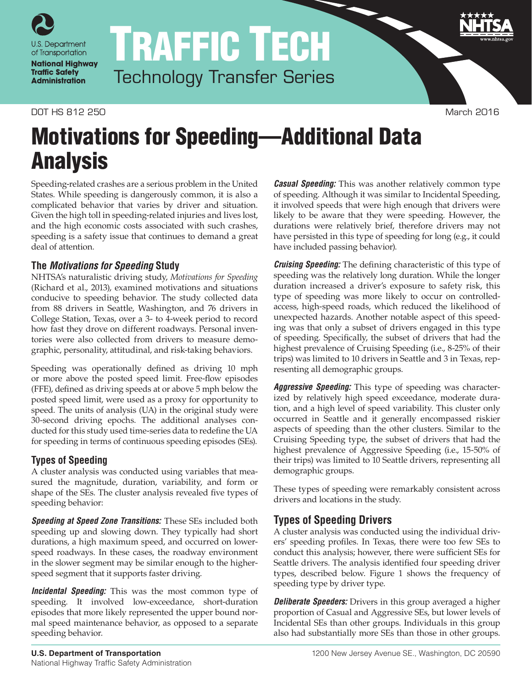

# TRAFFIC TECH Technology Transfer Series

## DOT HS 812 250 March 2016

# Motivations for Speeding—Additional Data Analysis

Speeding-related crashes are a serious problem in the United States. While speeding is dangerously common, it is also a complicated behavior that varies by driver and situation. Given the high toll in speeding-related injuries and lives lost, and the high economic costs associated with such crashes, speeding is a safety issue that continues to demand a great deal of attention.

# **The** *Motivations for Speeding* **Study**

NHTSA's naturalistic driving study, *Motivations for Speeding* (Richard et al., 2013), examined motivations and situations conducive to speeding behavior. The study collected data from 88 drivers in Seattle, Washington, and 76 drivers in College Station, Texas, over a 3- to 4-week period to record how fast they drove on different roadways. Personal inventories were also collected from drivers to measure demographic, personality, attitudinal, and risk-taking behaviors.

Speeding was operationally defined as driving 10 mph or more above the posted speed limit. Free-flow episodes (FFE), defined as driving speeds at or above 5 mph below the posted speed limit, were used as a proxy for opportunity to speed. The units of analysis (UA) in the original study were 30-second driving epochs. The additional analyses conducted for this study used time-series data to redefine the UA for speeding in terms of continuous speeding episodes (SEs).

# **Types of Speeding**

A cluster analysis was conducted using variables that measured the magnitude, duration, variability, and form or shape of the SEs. The cluster analysis revealed five types of speeding behavior:

*Speeding at Speed Zone Transitions:* These SEs included both speeding up and slowing down. They typically had short durations, a high maximum speed, and occurred on lowerspeed roadways. In these cases, the roadway environment in the slower segment may be similar enough to the higherspeed segment that it supports faster driving.

*Incidental Speeding:* This was the most common type of speeding. It involved low-exceedance, short-duration episodes that more likely represented the upper bound normal speed maintenance behavior, as opposed to a separate speeding behavior.

*Casual Speeding:* This was another relatively common type of speeding. Although it was similar to Incidental Speeding, it involved speeds that were high enough that drivers were likely to be aware that they were speeding. However, the durations were relatively brief, therefore drivers may not have persisted in this type of speeding for long (e.g., it could have included passing behavior).

*Cruising Speeding:* The defining characteristic of this type of speeding was the relatively long duration. While the longer duration increased a driver's exposure to safety risk, this type of speeding was more likely to occur on controlledaccess, high-speed roads, which reduced the likelihood of unexpected hazards. Another notable aspect of this speeding was that only a subset of drivers engaged in this type of speeding. Specifically, the subset of drivers that had the highest prevalence of Cruising Speeding (i.e., 8-25% of their trips) was limited to 10 drivers in Seattle and 3 in Texas, representing all demographic groups.

*Aggressive Speeding:* This type of speeding was characterized by relatively high speed exceedance, moderate duration, and a high level of speed variability. This cluster only occurred in Seattle and it generally encompassed riskier aspects of speeding than the other clusters. Similar to the Cruising Speeding type, the subset of drivers that had the highest prevalence of Aggressive Speeding (i.e., 15-50% of their trips) was limited to 10 Seattle drivers, representing all demographic groups.

These types of speeding were remarkably consistent across drivers and locations in the study.

# **Types of Speeding Drivers**

A cluster analysis was conducted using the individual drivers' speeding profiles. In Texas, there were too few SEs to conduct this analysis; however, there were sufficient SEs for Seattle drivers. The analysis identified four speeding driver types, described below. Figure 1 shows the frequency of speeding type by driver type.

*Deliberate Speeders:* Drivers in this group averaged a higher proportion of Casual and Aggressive SEs, but lower levels of Incidental SEs than other groups. Individuals in this group also had substantially more SEs than those in other groups.